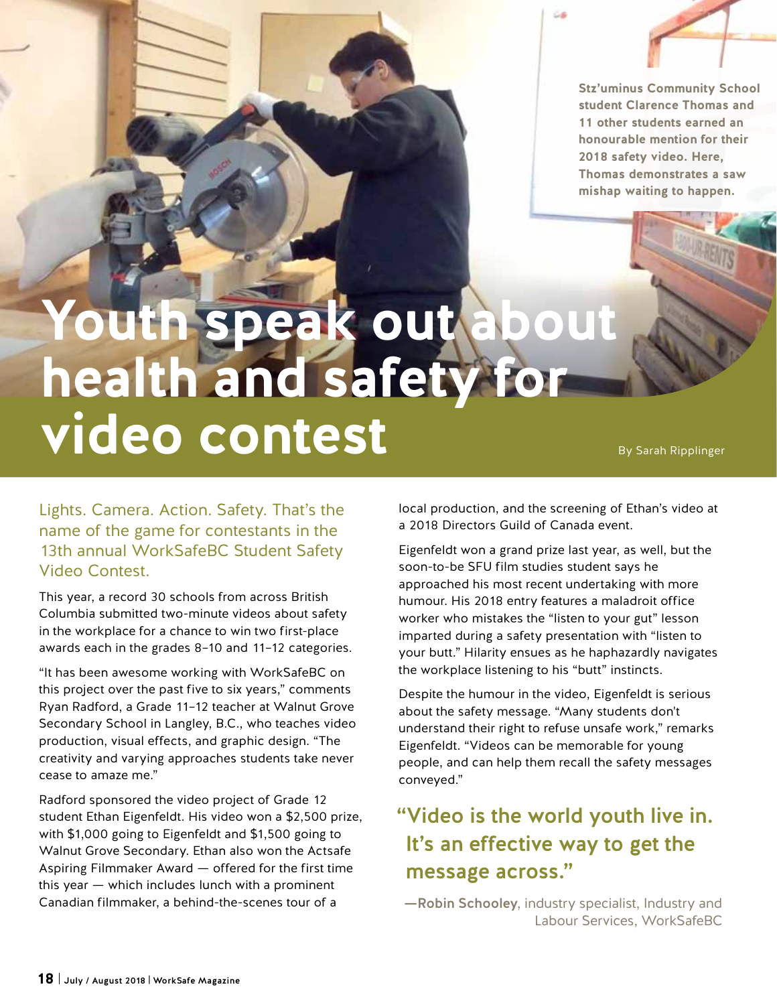**Stz'uminus Community School student Clarence Thomas and 11 other students earned an honourable mention for their 2018 safety video. Here, Thomas demonstrates a saw mishap waiting to happen.**

## Youth speak out ab **health and safety for video contest**

By Sarah Ripplinger

Lights. Camera. Action. Safety. That's the name of the game for contestants in the 13th annual WorkSafeBC Student Safety Video Contest.

This year, a record 30 schools from across British Columbia submitted two-minute videos about safety in the workplace for a chance to win two first-place awards each in the grades 8–10 and 11–12 categories.

"It has been awesome working with WorkSafeBC on this project over the past five to six years," comments Ryan Radford, a Grade 11–12 teacher at Walnut Grove Secondary School in Langley, B.C., who teaches video production, visual effects, and graphic design. "The creativity and varying approaches students take never cease to amaze me."

Radford sponsored the video project of Grade 12 student Ethan Eigenfeldt. His video won a \$2,500 prize, with \$1,000 going to Eigenfeldt and \$1,500 going to Walnut Grove Secondary. Ethan also won the Actsafe Aspiring Filmmaker Award — offered for the first time this year — which includes lunch with a prominent Canadian filmmaker, a behind-the-scenes tour of a

local production, and the screening of Ethan's video at a 2018 Directors Guild of Canada event.

Eigenfeldt won a grand prize last year, as well, but the soon-to-be SFU film studies student says he approached his most recent undertaking with more humour. His 2018 entry features a maladroit office worker who mistakes the "listen to your gut" lesson imparted during a safety presentation with "listen to your butt." Hilarity ensues as he haphazardly navigates the workplace listening to his "butt" instincts.

Despite the humour in the video, Eigenfeldt is serious about the safety message. "Many students don't understand their right to refuse unsafe work," remarks Eigenfeldt. "Videos can be memorable for young people, and can help them recall the safety messages conveyed."

## "Video is the world youth live in. It's an effective way to get the message across."

—Robin Schooley, industry specialist, Industry and Labour Services, WorkSafeBC